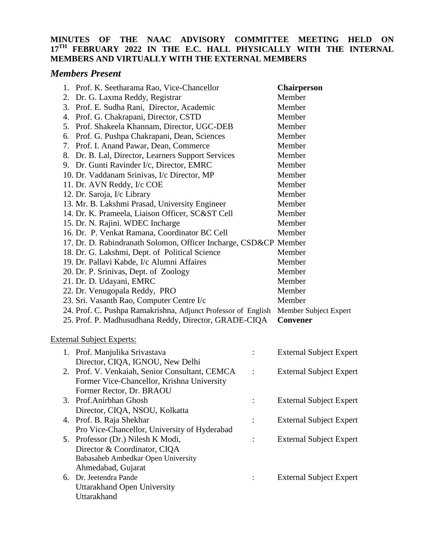## **MINUTES OF THE NAAC ADVISORY COMMITTEE MEETING HELD ON 17TH FEBRUARY 2022 IN THE E.C. HALL PHYSICALLY WITH THE INTERNAL MEMBERS AND VIRTUALLY WITH THE EXTERNAL MEMBERS**

## *Members Present*

| 1. Prof. K. Seetharama Rao, Vice-Chancellor                      |                      | <b>Chairperson</b>             |
|------------------------------------------------------------------|----------------------|--------------------------------|
| 2. Dr. G. Laxma Reddy, Registrar                                 |                      | Member                         |
| 3. Prof. E. Sudha Rani, Director, Academic                       |                      | Member                         |
| 4. Prof. G. Chakrapani, Director, CSTD                           |                      | Member                         |
| 5. Prof. Shakeela Khannam, Director, UGC-DEB                     |                      | Member                         |
| 6. Prof. G. Pushpa Chakrapani, Dean, Sciences                    |                      | Member                         |
| 7. Prof. I. Anand Pawar, Dean, Commerce                          |                      | Member                         |
| 8. Dr. B. Lal, Director, Learners Support Services               |                      | Member                         |
| 9. Dr. Gunti Ravinder I/c, Director, EMRC                        |                      | Member                         |
| 10. Dr. Vaddanam Srinivas, I/c Director, MP                      |                      | Member                         |
| 11. Dr. AVN Reddy, I/c COE                                       |                      | Member                         |
| 12. Dr. Saroja, I/c Library                                      |                      | Member                         |
| 13. Mr. B. Lakshmi Prasad, University Engineer                   |                      | Member                         |
| 14. Dr. K. Prameela, Liaison Officer, SC&ST Cell                 |                      | Member                         |
| 15. Dr. N. Rajini. WDEC Incharge                                 |                      | Member                         |
| 16. Dr. P. Venkat Ramana, Coordinator BC Cell                    |                      | Member                         |
| 17. Dr. D. Rabindranath Solomon, Officer Incharge, CSD&CP Member |                      |                                |
| 18. Dr. G. Lakshmi, Dept. of Political Science                   |                      | Member                         |
| 19. Dr. Pallavi Kabde, I/c Alumni Affaires                       |                      | Member                         |
| 20. Dr. P. Srinivas, Dept. of Zoology                            |                      | Member                         |
| 21. Dr. D. Udayani, EMRC                                         |                      | Member                         |
| 22. Dr. Venugopala Reddy, PRO                                    |                      | Member                         |
| 23. Sri. Vasanth Rao, Computer Centre I/c                        |                      |                                |
|                                                                  |                      | Member                         |
| 24. Prof. C. Pushpa Ramakrishna, Adjunct Professor of English    |                      | Member Subject Expert          |
| 25. Prof. P. Madhusudhana Reddy, Director, GRADE-CIQA            |                      | <b>Convener</b>                |
| <b>External Subject Experts:</b>                                 |                      |                                |
|                                                                  |                      |                                |
| 1. Prof. Manjulika Srivastava                                    | $\ddot{\phantom{a}}$ | <b>External Subject Expert</b> |
| Director, CIQA, IGNOU, New Delhi                                 |                      |                                |
| 2. Prof. V. Venkaiah, Senior Consultant, CEMCA                   |                      | <b>External Subject Expert</b> |
| Former Vice-Chancellor, Krishna University                       |                      |                                |
| Former Rector, Dr. BRAOU<br>3. Prof.Anirbhan Ghosh               |                      |                                |
|                                                                  |                      | <b>External Subject Expert</b> |
| Director, CIQA, NSOU, Kolkatta<br>4. Prof. B. Raja Shekhar       |                      |                                |
| Pro Vice-Chancellor, University of Hyderabad                     |                      | <b>External Subject Expert</b> |
| 5. Professor (Dr.) Nilesh K Modi,                                | $\vdots$             |                                |
| Director & Coordinator, CIQA                                     |                      | <b>External Subject Expert</b> |
| Babasaheb Ambedkar Open University                               |                      |                                |
| Ahmedabad, Gujarat                                               |                      |                                |
| 6. Dr. Jeetendra Pande                                           |                      | <b>External Subject Expert</b> |
| Uttarakhand Open University                                      |                      |                                |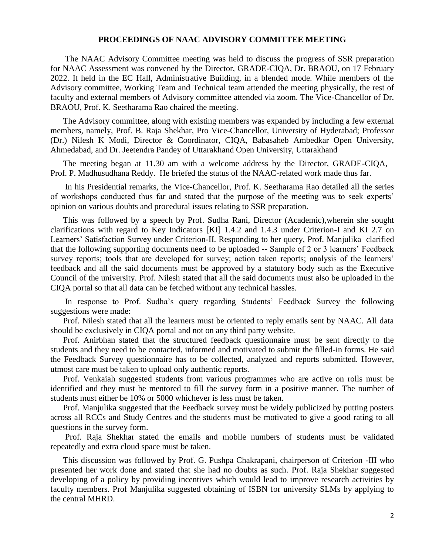## **PROCEEDINGS OF NAAC ADVISORY COMMITTEE MEETING**

The NAAC Advisory Committee meeting was held to discuss the progress of SSR preparation for NAAC Assessment was convened by the Director, GRADE-CIQA, Dr. BRAOU, on 17 February 2022. It held in the EC Hall, Administrative Building, in a blended mode. While members of the Advisory committee, Working Team and Technical team attended the meeting physically, the rest of faculty and external members of Advisory committee attended via zoom. The Vice-Chancellor of Dr. BRAOU, Prof. K. Seetharama Rao chaired the meeting.

The Advisory committee, along with existing members was expanded by including a few external members, namely, Prof. B. Raja Shekhar, Pro Vice-Chancellor, University of Hyderabad; Professor (Dr.) Nilesh K Modi, Director & Coordinator, CIQA, Babasaheb Ambedkar Open University, Ahmedabad, and Dr. Jeetendra Pandey of Uttarakhand Open University, Uttarakhand

The meeting began at 11.30 am with a welcome address by the Director, GRADE-CIQA, Prof. P. Madhusudhana Reddy. He briefed the status of the NAAC-related work made thus far.

In his Presidential remarks, the Vice-Chancellor, Prof. K. Seetharama Rao detailed all the series of workshops conducted thus far and stated that the purpose of the meeting was to seek experts' opinion on various doubts and procedural issues relating to SSR preparation.

This was followed by a speech by Prof. Sudha Rani, Director (Academic),wherein she sought clarifications with regard to Key Indicators [KI] 1.4.2 and 1.4.3 under Criterion-I and KI 2.7 on Learners' Satisfaction Survey under Criterion-II. Responding to her query, Prof. Manjulika clarified that the following supporting documents need to be uploaded -- Sample of 2 or 3 learners' Feedback survey reports; tools that are developed for survey; action taken reports; analysis of the learners' feedback and all the said documents must be approved by a statutory body such as the Executive Council of the university. Prof. Nilesh stated that all the said documents must also be uploaded in the CIQA portal so that all data can be fetched without any technical hassles.

In response to Prof. Sudha's query regarding Students' Feedback Survey the following suggestions were made:

Prof. Nilesh stated that all the learners must be oriented to reply emails sent by NAAC. All data should be exclusively in CIQA portal and not on any third party website.

Prof. Anirbhan stated that the structured feedback questionnaire must be sent directly to the students and they need to be contacted, informed and motivated to submit the filled-in forms. He said the Feedback Survey questionnaire has to be collected, analyzed and reports submitted. However, utmost care must be taken to upload only authentic reports.

Prof. Venkaiah suggested students from various programmes who are active on rolls must be identified and they must be mentored to fill the survey form in a positive manner. The number of students must either be 10% or 5000 whichever is less must be taken.

Prof. Manjulika suggested that the Feedback survey must be widely publicized by putting posters across all RCCs and Study Centres and the students must be motivated to give a good rating to all questions in the survey form.

Prof. Raja Shekhar stated the emails and mobile numbers of students must be validated repeatedly and extra cloud space must be taken.

This discussion was followed by Prof. G. Pushpa Chakrapani, chairperson of Criterion -III who presented her work done and stated that she had no doubts as such. Prof. Raja Shekhar suggested developing of a policy by providing incentives which would lead to improve research activities by faculty members. Prof Manjulika suggested obtaining of ISBN for university SLMs by applying to the central MHRD.